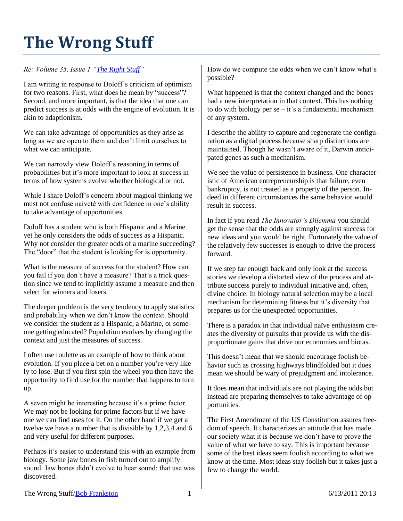## **The Wrong Stuff**

## *Re: Volume 35, Issue 1 ["The Right Stuff"](http://www.csicop.org/si/show/the_right_stuff/)*

I am writing in response to Doloff's criticism of optimism for two reasons. First, what does he mean by "success"? Second, and more important, is that the idea that one can predict success is at odds with the engine of evolution. It is akin to adaptionism.

We can take advantage of opportunities as they arise as long as we are open to them and don't limit ourselves to what we can anticipate.

We can narrowly view Doloff's reasoning in terms of probabilities but it's more important to look at success in terms of how systems evolve whether biological or not.

While I share Doloff's concern about magical thinking we must not confuse naiveté with confidence in one's ability to take advantage of opportunities.

Doloff has a student who is both Hispanic and a Marine yet he only considers the odds of success as a Hispanic. Why not consider the greater odds of a marine succeeding? The "door" that the student is looking for is opportunity.

What is the measure of success for the student? How can you fail if you don't have a measure? That's a trick question since we tend to implicitly assume a measure and then select for winners and losers.

The deeper problem is the very tendency to apply statistics and probability when we don't know the context. Should we consider the student as a Hispanic, a Marine, or someone getting educated? Population evolves by changing the context and just the measures of success.

I often use roulette as an example of how to think about evolution. If you place a bet on a number you're very likely to lose. But if you first spin the wheel you then have the opportunity to find use for the number that happens to turn up.

A seven might be interesting because it's a prime factor. We may not be looking for prime factors but if we have one we can find uses for it. On the other hand if we get a twelve we have a number that is divisible by 1,2,3,4 and 6 and very useful for different purposes.

Perhaps it's easier to understand this with an example from biology. Some jaw bones in fish turned out to amplify sound. Jaw bones didn't evolve to hear sound; that use was discovered.

How do we compute the odds when we can't know what's possible?

What happened is that the context changed and the bones had a new interpretation in that context. This has nothing to do with biology per  $se - it's$  a fundamental mechanism of any system.

I describe the ability to capture and regenerate the configuration as a digital process because sharp distinctions are maintained. Though he wasn't aware of it, Darwin anticipated genes as such a mechanism.

We see the value of persistence in business. One characteristic of American entrepreneurship is that failure, even bankruptcy, is not treated as a property of the person. Indeed in different circumstances the same behavior would result in success.

In fact if you read *The Innovator's Dilemma* you should get the sense that the odds are strongly against success for new ideas and you would be right. Fortunately the value of the relatively few successes is enough to drive the process forward.

If we step far enough back and only look at the success stories we develop a distorted view of the process and attribute success purely to individual initiative and, often, divine choice. In biology natural selection may be a local mechanism for determining fitness but it's diversity that prepares us for the unexpected opportunities.

There is a paradox in that individual naïve enthusiasm creates the diversity of pursuits that provide us with the disproportionate gains that drive our economies and biotas.

This doesn't mean that we should encourage foolish behavior such as crossing highways blindfolded but it does mean we should be wary of prejudgment and intolerance.

It does mean that individuals are not playing the odds but instead are preparing themselves to take advantage of opportunities.

The First Amendment of the US Constitution assures freedom of speech. It characterizes an attitude that has made our society what it is because we don't have to prove the value of what we have to say. This is important because some of the best ideas seem foolish according to what we know at the time. Most ideas stay foolish but it takes just a few to change the world.